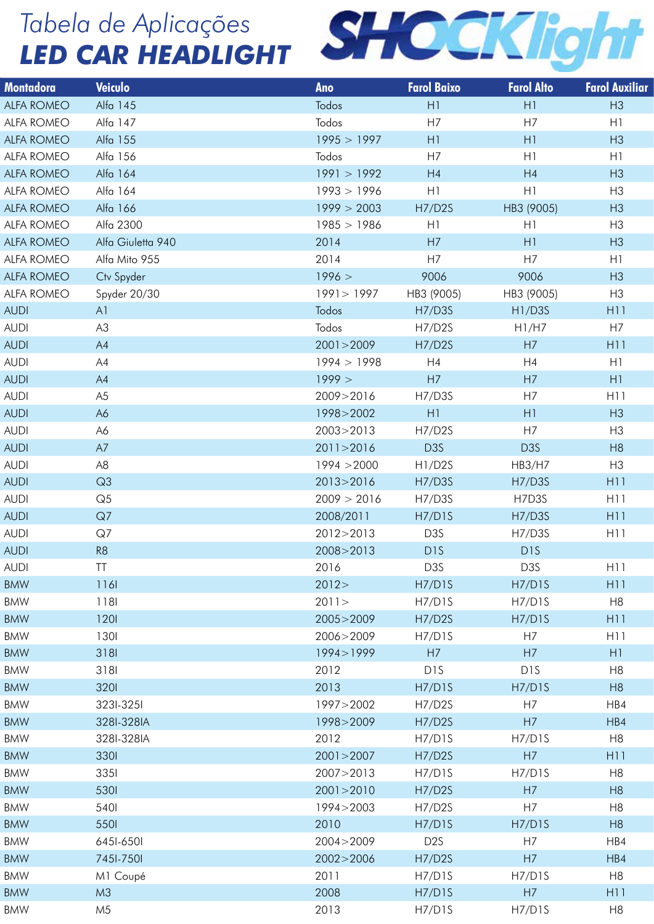

| <b>Montadora</b>         | Veiculo            | Ano                 | <b>Farol Baixo</b>              | <b>Farol Alto</b> | <b>Farol Auxiliar</b> |
|--------------------------|--------------------|---------------------|---------------------------------|-------------------|-----------------------|
| ALFA ROMEO               | Alfa 145           | Todos               | H1                              | H1                | H3                    |
| ALFA ROMEO               | Alfa 147           | Todos               | H7                              | H7                | H1                    |
| ALFA ROMEO               | Alfa 155           | 1995 > 1997         | H1                              | H1                | H3                    |
| ALFA ROMEO               | Alfa 156           | Todos               | H7                              | H1                | H1                    |
| ALFA ROMEO               | Alfa 164           | 1991 > 1992         | H4                              | H4                | H3                    |
| ALFA ROMEO               | Alfa 164           | 1993 > 1996         | H1                              | H1                | H <sub>3</sub>        |
| ALFA ROMEO               | Alfa 166           | 1999 > 2003         | <b>H7/D2S</b>                   | HB3 (9005)        | H3                    |
| ALFA ROMEO               | Alfa 2300          | 1985 > 1986         | H1                              | H1                | H <sub>3</sub>        |
| ALFA ROMEO               | Alfa Giuletta 940  | 2014                | H7                              | H1                | H3                    |
| ALFA ROMEO               | Alfa Mito 955      | 2014                | H7                              | H7                | H1                    |
| ALFA ROMEO               | Ctv Spyder         | 1996 >              | 9006                            | 9006              | H3                    |
| ALFA ROMEO               | Spyder 20/30       | 1991 > 1997         | HB3 (9005)                      | HB3 (9005)        | H <sub>3</sub>        |
| <b>AUDI</b>              | A1                 | Todos               | H7/D3S                          | H1/D3S            | H11                   |
| <b>AUDI</b>              | A3                 | Todos               | H7/D2S                          | H1/H7             | H7                    |
| <b>AUDI</b>              | A4                 | 2001 > 2009         | H7/D2S                          | H7                | H11                   |
| <b>AUDI</b>              | A4                 | 1994 > 1998         | H4                              | H4                | H1                    |
| <b>AUDI</b>              | A4                 | 1999 >              | H7                              | H7                | H1                    |
| <b>AUDI</b>              | A <sub>5</sub>     | 2009>2016           | H7/D3S                          | H7                | H11                   |
| <b>AUDI</b>              | A6                 | 1998>2002           | H1                              | H1                | H3                    |
| <b>AUDI</b>              | A6                 | 2003>2013           | H7/D2S                          | H7                | H <sub>3</sub>        |
| <b>AUDI</b>              | A7                 | 2011>2016           | D <sub>3</sub> S                | D <sub>3</sub> S  | H8                    |
| <b>AUDI</b>              | A <sub>8</sub>     | 1994 > 2000         | H <sub>1</sub> /D <sub>2S</sub> | <b>HB3/H7</b>     | H3                    |
| <b>AUDI</b>              | Q3                 | 2013>2016           | <b>H7/D3S</b>                   | <b>H7/D3S</b>     | H11                   |
| <b>AUDI</b>              | Q <sub>5</sub>     | 2009 > 2016         | H7/D3S                          | H7D3S             | H11                   |
| <b>AUDI</b>              | Q7                 | 2008/2011           | H7/D1S                          | <b>H7/D3S</b>     | H11                   |
| <b>AUDI</b>              | Q7                 | 2012>2013           | D3S                             | H7/D3S            | H11                   |
| <b>AUDI</b>              | R <sub>8</sub>     | 2008>2013           | D <sub>1</sub> S                | D <sub>1</sub> S  |                       |
| <b>AUDI</b>              | <b>TT</b>          | 2016                | D3S                             | D3S               | H11                   |
| <b>BMW</b>               | 116                | 2012 >              | H7/D1S                          | H7/D1S            | H <sub>11</sub>       |
| <b>BMW</b>               | 1181               | 2011 >              | H7/D1S                          | H7/D1S            | H <sub>8</sub>        |
| BMW                      | 1201               | 2005>2009           | H7/D2S                          | H7/D1S            | H11                   |
| <b>BMW</b>               | 1301               | 2006>2009           | H7/D1S                          | H7                | H11                   |
| <b>BMW</b>               | 3181               | 1994>1999           | H7                              | H7                | H1                    |
| BMW                      | 3181               | 2012                | D <sub>1</sub> S                | D <sub>1</sub> S  | H8                    |
| <b>BMW</b>               | 3201               | 2013                | H7/D1S                          | H7/D1S            | H8                    |
| <b>BMW</b>               | 323I-325I          | 1997>2002           | H7/D2S                          | H7                | HB4                   |
| BMW                      | 328I-328IA         | 1998>2009           | H7/D2S                          | H7                | HB4                   |
| <b>BMW</b><br><b>BMW</b> | 328I-328IA<br>3301 | 2012<br>2001 > 2007 | H7/D1S<br>H7/D2S                | H7/D1S<br>H7      | H8<br>H11             |
| <b>BMW</b>               | 3351               | 2007>2013           | H7/D1S                          | H7/D1S            | H <sub>8</sub>        |
| BMW                      | 530                | 2001 > 2010         | H7/D2S                          | H7                | H8                    |
| <b>BMW</b>               | 540                | 1994>2003           | H7/D2S                          | H7                | H8                    |
| <b>BMW</b>               | 550                | 2010                | H7/D1S                          | H7/D1S            | H8                    |
| BMW                      |                    |                     | D <sub>2</sub> S                | H7                |                       |
|                          | 6451-6501          | 2004>2009           |                                 |                   | HB4                   |
| <b>BMW</b>               | 7451-7501          | 2002>2006           | H7/D2S                          | H7                | HBA                   |
| BMW                      | M1 Coupé           | 2011                | H7/D1S                          | H7/D1S            | H8                    |
| <b>BMW</b>               | M3                 | 2008                | H7/D1S                          | H7                | H11                   |
| BMW                      | M5                 | 2013                | H7/D1S                          | H7/D1S            | H <sub>8</sub>        |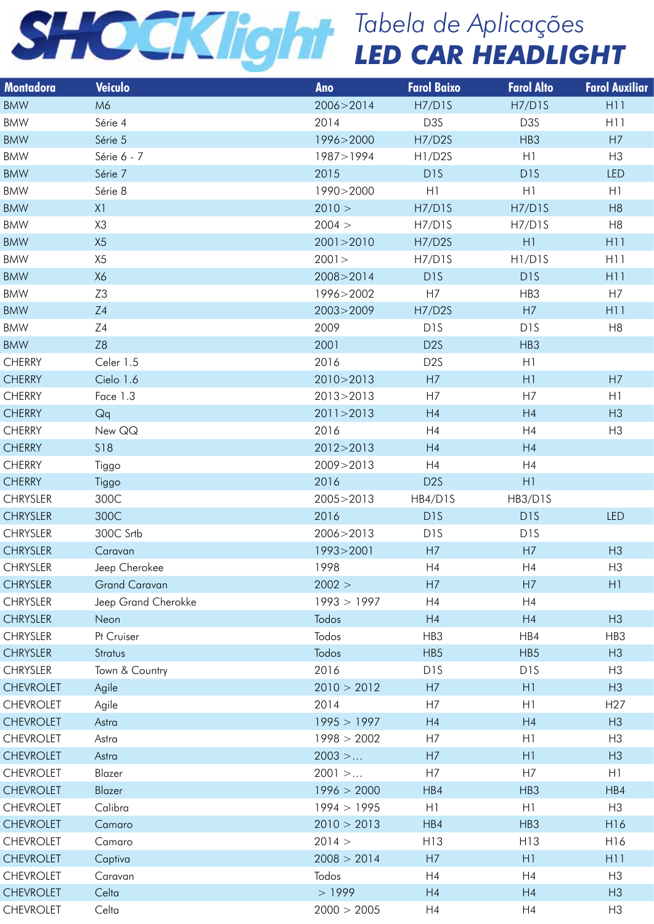| <b>Montadora</b> | Veiculo              | Ano               | <b>Farol Baixo</b> | <b>Farol Alto</b> | <b>Farol Auxiliar</b> |
|------------------|----------------------|-------------------|--------------------|-------------------|-----------------------|
| <b>BMW</b>       | M6                   | 2006>2014         | H7/D1S             | H7/D1S            | H11                   |
| BMW              | Série 4              | 2014              | D3S                | D3S               | H11                   |
| <b>BMW</b>       | Série 5              | 1996>2000         | H7/D2S             | HB3               | H7                    |
| BMW              | Série 6 - 7          | 1987>1994         | H1/D2S             | H1                | H3                    |
| <b>BMW</b>       | Série 7              | 2015              | D <sub>1</sub> S   | D <sub>1</sub> S  | LED                   |
| BMW              | Série 8              | 1990>2000         | H1                 | H1                | H1                    |
| <b>BMW</b>       | X1                   | 2010 >            | H7/D1S             | H7/D1S            | H8                    |
| BMW              | X3                   | 2004 >            | H7/D1S             | H7/D1S            | H <sub>8</sub>        |
| <b>BMW</b>       | X5                   | 2001 > 2010       | H7/D2S             | H1                | H11                   |
| BMW              | X <sub>5</sub>       | 2001 >            | H7/D1S             | H1/D1S            | H11                   |
| <b>BMW</b>       | X6                   | 2008>2014         | D <sub>1</sub> S   | D <sub>1</sub> S  | H11                   |
| BMW              | Z3                   | 1996>2002         | H7                 | HB3               | H7                    |
| <b>BMW</b>       | Z4                   | 2003>2009         | <b>H7/D2S</b>      | H7                | H11                   |
| BMW              | Z4                   | 2009              | D <sub>1</sub> S   | D <sub>1</sub> S  | H8                    |
| <b>BMW</b>       | Z <sub>8</sub>       | 2001              | D <sub>2</sub> S   | HB3               |                       |
| <b>CHERRY</b>    | Celer 1.5            | 2016              | D <sub>2</sub> S   | H1                |                       |
| <b>CHERRY</b>    | Cielo 1.6            | 2010>2013         | H7                 | H1                | H7                    |
| <b>CHERRY</b>    | Face 1.3             | 2013>2013         | H7                 | H7                | H1                    |
| <b>CHERRY</b>    | Qq                   | 2011 > 2013       | H4                 | H4                | H3                    |
| <b>CHERRY</b>    | New QQ               | 2016              | H4                 | H4                | H3                    |
| <b>CHERRY</b>    | S18                  | 2012>2013         | H4                 | H4                |                       |
| <b>CHERRY</b>    | Tiggo                | 2009>2013         | H4                 | H4                |                       |
| <b>CHERRY</b>    | Tiggo                | 2016              | D <sub>2</sub> S   | H1                |                       |
| CHRYSLER         | 300C                 | 2005>2013         | HB4/D1S            | HB3/D1S           |                       |
| <b>CHRYSLER</b>  | 300C                 | 2016              | D <sub>1</sub> S   | D <sub>1</sub> S  | LED                   |
| <b>CHRYSLER</b>  | 300C Srtb            | 2006>2013         | D <sub>1</sub> S   | D <sub>1</sub> S  |                       |
|                  |                      |                   |                    |                   |                       |
| <b>CHRYSLER</b>  | Caravan              | 1993>2001<br>1998 | H7<br>H4           | H7<br>H4          | H3<br>H3              |
| <b>CHRYSLER</b>  | Jeep Cherokee        |                   |                    |                   |                       |
| <b>CHRYSLER</b>  | <b>Grand Caravan</b> | 2002 >            | H7                 | H7                | H1                    |
| <b>CHRYSLER</b>  | Jeep Grand Cherokke  | 1993 > 1997       | H4                 | H4                |                       |
| <b>CHRYSLER</b>  | Neon                 | Todos             | H4                 | H4                | H3                    |
| <b>CHRYSLER</b>  | Pt Cruiser           | Todos             | HB3                | HB4               | HB3                   |
| <b>CHRYSLER</b>  | Stratus              | Todos             | HB <sub>5</sub>    | HB <sub>5</sub>   | H3                    |
| <b>CHRYSLER</b>  | Town & Country       | 2016              | D <sub>1</sub> S   | D <sub>1</sub> S  | H3                    |
| <b>CHEVROLET</b> | Agile                | 2010 > 2012       | H7                 | H1                | H3                    |
| <b>CHEVROLET</b> | Agile                | 2014              | H7                 | H1                | H <sub>27</sub>       |
| <b>CHEVROLET</b> | Astra                | 1995 > 1997       | H4                 | H4                | H3                    |
| CHEVROLET        | Astra                | 1998 > 2002       | H7                 | H1                | H3                    |
| <b>CHEVROLET</b> | Astra                | $2003$ >          | H7                 | H1                | H3                    |
| <b>CHEVROLET</b> | Blazer               | $2001$ >          | H7                 | H7                | H1                    |
| <b>CHEVROLET</b> | Blazer               | 1996 > 2000       | HBA                | HB3               | HB4                   |
| <b>CHEVROLET</b> | Calibra              | 1994 > 1995       | H1                 | H1                | H3                    |
| <b>CHEVROLET</b> | Camaro               | 2010 > 2013       | HB4                | HB3               | H16                   |
| <b>CHEVROLET</b> | Camaro               | 2014 >            | H13                | H13               | H16                   |
| <b>CHEVROLET</b> | Captiva              | 2008 > 2014       | H7                 | H1                | H11                   |
| <b>CHEVROLET</b> | Caravan              | Todos             | H4                 | H4                | H3                    |
| <b>CHEVROLET</b> | Celta                | >1999             | H4                 | H4                | H3                    |
| <b>CHEVROLET</b> | Celta                | 2000 > 2005       | H4                 | H4                | H3                    |
|                  |                      |                   |                    |                   |                       |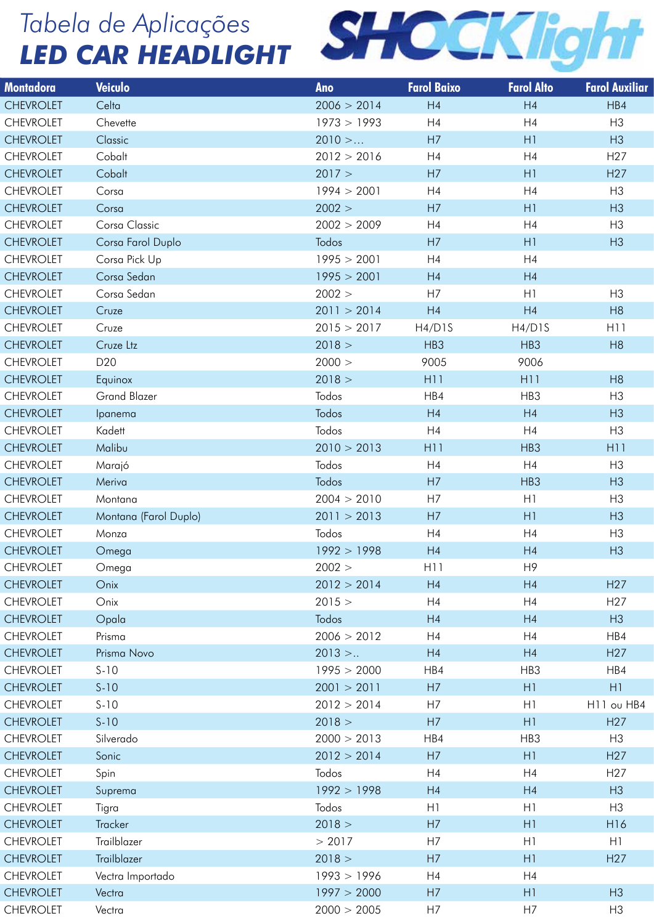

| <b>Montadora</b>                     | Veiculo               | Ano                   | <b>Farol Baixo</b> | <b>Farol Alto</b>    | <b>Farol Auxiliar</b>              |
|--------------------------------------|-----------------------|-----------------------|--------------------|----------------------|------------------------------------|
| <b>CHEVROLET</b>                     | Celta                 | 2006 > 2014           | H4                 | H4                   | HBA                                |
| <b>CHEVROLET</b>                     | Chevette              | 1973 > 1993           | H4                 | H4                   | H3                                 |
| <b>CHEVROLET</b>                     | Classic               | $2010$ >              | H7                 | H1                   | H3                                 |
| <b>CHEVROLET</b>                     | Cobalt                | 2012 > 2016           | H4                 | H4                   | H <sub>27</sub>                    |
| <b>CHEVROLET</b>                     | Cobalt                | 2017 >                | H7                 | H1                   | H27                                |
| <b>CHEVROLET</b>                     | Corsa                 | 1994 > 2001           | H4                 | H4                   | H <sub>3</sub>                     |
| <b>CHEVROLET</b>                     | Corsa                 | 2002 >                | H7                 | H1                   | H3                                 |
| <b>CHEVROLET</b>                     | Corsa Classic         | 2002 > 2009           | H4                 | H4                   | H3                                 |
| <b>CHEVROLET</b>                     | Corsa Farol Duplo     | Todos                 | H7                 | H1                   | H3                                 |
| <b>CHEVROLET</b>                     | Corsa Pick Up         | 1995 > 2001           | H4                 | H4                   |                                    |
| <b>CHEVROLET</b>                     | Corsa Sedan           | 1995 > 2001           | H4                 | H4                   |                                    |
| <b>CHEVROLET</b>                     | Corsa Sedan           | 2002 >                | H7                 | H1                   | H3                                 |
| <b>CHEVROLET</b>                     | Cruze                 | 2011 > 2014           | H4                 | H4                   | H <sub>8</sub>                     |
| <b>CHEVROLET</b>                     | Cruze                 | 2015 > 2017           | H4/D1S             | H4/D1S               | H11                                |
| <b>CHEVROLET</b>                     | Cruze Ltz             | 2018 >                | HB3                | HB3                  | H8                                 |
| <b>CHEVROLET</b>                     | D <sub>20</sub>       | 2000 >                | 9005               | 9006                 |                                    |
| <b>CHEVROLET</b>                     | Equinox               | 2018 >                | H11                | H11                  | H <sub>8</sub>                     |
| <b>CHEVROLET</b>                     | <b>Grand Blazer</b>   | Todos                 | HB4                | HB3                  | H3                                 |
| <b>CHEVROLET</b>                     | Ipanema               | Todos                 | H4                 | H4                   | H3                                 |
| <b>CHEVROLET</b>                     | Kadett                | Todos                 | H4                 | H4                   | H <sub>3</sub>                     |
| <b>CHEVROLET</b>                     | Malibu                | 2010 > 2013           | H11                | HB3                  | H11                                |
| <b>CHEVROLET</b>                     | Marajó                | Todos                 | H4                 | H4                   | H <sub>3</sub>                     |
| <b>CHEVROLET</b>                     | Meriva                | Todos                 | H7                 | HB3                  | H3                                 |
| <b>CHEVROLET</b>                     | Montana               | 2004 > 2010           | H7                 | H1                   | H3                                 |
| <b>CHEVROLET</b>                     | Montana (Farol Duplo) | 2011 > 2013           | H7                 | H1                   | H3                                 |
| <b>CHEVROLET</b>                     | Monza                 | Todos                 | H4                 | H <sub>4</sub>       | H3                                 |
| <b>CHEVROLET</b><br><b>CHEVROLET</b> | Omega                 | 1992 > 1998<br>2002 > | H4<br>H11          | H4<br>H <sub>9</sub> | H3                                 |
| <b>CHEVROLET</b>                     | Omega<br>Onix         | 2012 > 2014           | H4                 | H4                   | H <sub>27</sub>                    |
| <b>CHEVROLET</b>                     | Onix                  | 2015 >                | H4                 | H4                   | H <sub>27</sub>                    |
| <b>CHEVROLET</b>                     | Opala                 | Todos                 | H4                 | H4                   | H3                                 |
| <b>CHEVROLET</b>                     | Prisma                | 2006 > 2012           | H4                 | H4                   | HB4                                |
| <b>CHEVROLET</b>                     | Prisma Novo           | $2013$ >              | H4                 | H4                   | H <sub>27</sub>                    |
| <b>CHEVROLET</b>                     | $S-10$                | 1995 > 2000           | HB4                | HB3                  | HB4                                |
| <b>CHEVROLET</b>                     | $S-10$                | 2001 > 2011           | H7                 | H1                   | H1                                 |
| <b>CHEVROLET</b>                     | $S-10$                | 2012 > 2014           | H7                 | H1                   | H <sub>11</sub> ou H <sub>B4</sub> |
| <b>CHEVROLET</b>                     | $S-10$                | 2018 >                | H7                 | H1                   | H <sub>27</sub>                    |
| <b>CHEVROLET</b>                     | Silverado             | 2000 > 2013           | HB4                | HB3                  | H3                                 |
| <b>CHEVROLET</b>                     | Sonic                 | 2012 > 2014           | H7                 | H1                   | H <sub>27</sub>                    |
| <b>CHEVROLET</b>                     | Spin                  | Todos                 | H4                 | H4                   | H <sub>27</sub>                    |
| <b>CHEVROLET</b>                     | Suprema               | 1992 > 1998           | H4                 | H4                   | H3                                 |
| <b>CHEVROLET</b>                     | Tigra                 | Todos                 | H1                 | H1                   | H <sub>3</sub>                     |
| <b>CHEVROLET</b>                     | Tracker               | 2018 >                | H7                 | H1                   | H <sub>16</sub>                    |
| <b>CHEVROLET</b>                     | Trailblazer           | > 2017                | H7                 | H1                   | H1                                 |
| <b>CHEVROLET</b>                     | Trailblazer           | 2018 >                | H7                 | H1                   | H <sub>27</sub>                    |
| <b>CHEVROLET</b>                     | Vectra Importado      | 1993 > 1996           | H4                 | H4                   |                                    |
| <b>CHEVROLET</b>                     | Vectra                | 1997 > 2000           | H7                 | H1                   | H3                                 |
| <b>CHEVROLET</b>                     | Vectra                | 2000 > 2005           | H7                 | H7                   | H <sub>3</sub>                     |
|                                      |                       |                       |                    |                      |                                    |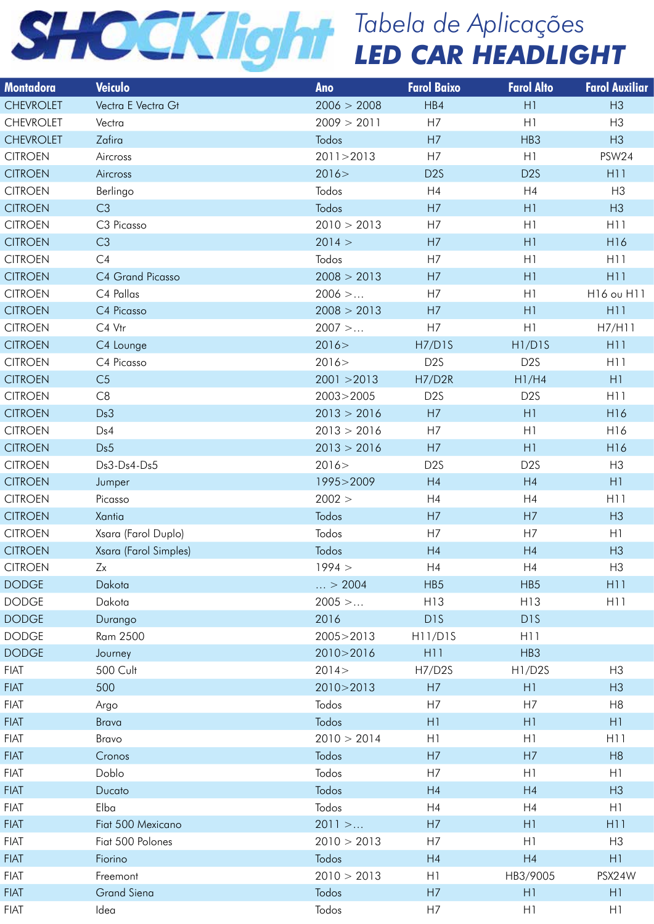

| Montadora                        | Veiculo               | Ano                 | <b>Farol Baixo</b>               | <b>Farol Alto</b> | <b>Farol Auxiliar</b> |
|----------------------------------|-----------------------|---------------------|----------------------------------|-------------------|-----------------------|
| <b>CHEVROLET</b>                 | Vectra E Vectra Gt    | 2006 > 2008         | HB4                              | H1                | H3                    |
| <b>CHEVROLET</b>                 | Vectra                | 2009 > 2011         | H7                               | H1                | H3                    |
| <b>CHEVROLET</b>                 | Zafira                | Todos               | H7                               | HB3               | H3                    |
| <b>CITROEN</b>                   | Aircross              | 2011 > 2013         | H7                               | H1                | PSW24                 |
| <b>CITROEN</b>                   | Aircross              | 2016 >              | D <sub>2</sub> S                 | D <sub>2</sub> S  | H11                   |
| <b>CITROEN</b>                   | Berlingo              | Todos               | H4                               | H4                | H3                    |
| <b>CITROEN</b>                   | C3                    | Todos               | H7                               | H1                | H3                    |
| <b>CITROEN</b>                   | C3 Picasso            | 2010 > 2013         | H7                               | H1                | H11                   |
| <b>CITROEN</b>                   | C3                    | 2014 >              | H7                               | H1                | H16                   |
| <b>CITROEN</b>                   | C4                    | Todos               | H7                               | H1                | H11                   |
| <b>CITROEN</b>                   | C4 Grand Picasso      | 2008 > 2013         | H7                               | H1                | H11                   |
| <b>CITROEN</b>                   | C4 Pallas             | $2006$ >            | H7                               | H1                | H16 ou H11            |
| <b>CITROEN</b>                   | C4 Picasso            | 2008 > 2013         | H7                               | H1                | H11                   |
| <b>CITROEN</b>                   | C4 Vtr                | $2007$ >            | H7                               | H1                | H7/H11                |
| <b>CITROEN</b>                   | C4 Lounge             | 2016 >              | H7/D1S                           | H1/D1S            | H11                   |
| <b>CITROEN</b>                   | C4 Picasso            | 2016 >              | D <sub>2</sub> S                 | D <sub>2</sub> S  | H11                   |
| <b>CITROEN</b>                   | C <sub>5</sub>        | 2001 > 2013         | <b>H7/D2R</b>                    | H1/H4             | H1                    |
| <b>CITROEN</b>                   | C8                    | 2003>2005           | D <sub>2</sub> S                 | D <sub>2</sub> S  | H11                   |
| <b>CITROEN</b>                   | Ds3                   | 2013 > 2016         | H7                               | H1                | H16                   |
| <b>CITROEN</b>                   | Ds4                   | 2013 > 2016         | H7                               | H1                | H16                   |
| <b>CITROEN</b>                   | Ds5                   | 2013 > 2016         | H7                               | H1                | H16                   |
| <b>CITROEN</b>                   | Ds3-Ds4-Ds5           | 2016 >              | D <sub>2</sub> S                 | D <sub>2</sub> S  | H3                    |
|                                  |                       |                     | H4                               | H4                | H1                    |
| <b>CITROEN</b><br><b>CITROEN</b> | Jumper                | 1995>2009<br>2002 > |                                  |                   | H11                   |
|                                  | Picasso               |                     | H4                               | H4                |                       |
| <b>CITROEN</b>                   | Xantia                | Todos               | H7                               | H7                | H3                    |
| <b>CITROEN</b>                   | Xsara (Farol Duplo)   | Todos               | H7                               | H7                | H1                    |
| <b>CITROEN</b>                   | Xsara (Farol Simples) | Todos               | H4                               | H4                | H3                    |
| <b>CITROEN</b>                   | Zx                    | 1994 >              | H4                               | H4                | H3                    |
| <b>DODGE</b>                     | Dakota                | $\ldots > 2004$     | HB <sub>5</sub>                  | HB5               | H11                   |
| <b>DODGE</b>                     | Dakota                | $2005$ >            | H13                              | H13               | H11                   |
| <b>DODGE</b>                     | Durango               | 2016                | D <sub>1</sub> S                 | D <sub>1</sub> S  |                       |
| <b>DODGE</b>                     | Ram 2500              | 2005>2013           | H <sub>1</sub> 1/D <sub>15</sub> | H <sub>11</sub>   |                       |
| <b>DODGE</b>                     | Journey               | 2010>2016           | H <sub>11</sub>                  | HB3               |                       |
| <b>FIAT</b>                      | <b>500 Cult</b>       | 2014 >              | <b>H7/D2S</b>                    | H1/D2S            | H3                    |
| <b>FIAT</b>                      | 500                   | 2010 > 2013         | H7                               | H1                | H3                    |
| <b>FIAT</b>                      | Argo                  | Todos               | H7                               | H7                | H <sub>8</sub>        |
| <b>FIAT</b>                      | Brava                 | Todos               | H1                               | H1                | H1                    |
| <b>FIAT</b>                      | Bravo                 | 2010 > 2014         | H1                               | H1                | H11                   |
| <b>FIAT</b>                      | Cronos                | Todos               | H7                               | H7                | H8                    |
| <b>FIAT</b>                      | Doblo                 | Todos               | H7                               | H1                | H1                    |
| <b>FIAT</b>                      | Ducato                | Todos               | H4                               | H4                | H3                    |
| <b>FIAT</b>                      | Elba                  | Todos               | H4                               | H4                | H1                    |
| <b>FIAT</b>                      | Fiat 500 Mexicano     | $2011$ >            | H7                               | H1                | H11                   |
| <b>FIAT</b>                      | Fiat 500 Polones      | 2010 > 2013         | H7                               | H1                | H <sub>3</sub>        |
| <b>FIAT</b>                      | Fiorino               | Todos               | H4                               | H4                | H1                    |
| <b>FIAT</b>                      | Freemont              | 2010 > 2013         | H1                               | HB3/9005          | PSX24W                |
| <b>FIAT</b>                      | <b>Grand Siena</b>    | Todos               | H7                               | H1                | H1                    |
| <b>FIAT</b>                      | Idea                  | Todos               | H7                               | H1                | H1                    |
|                                  |                       |                     |                                  |                   |                       |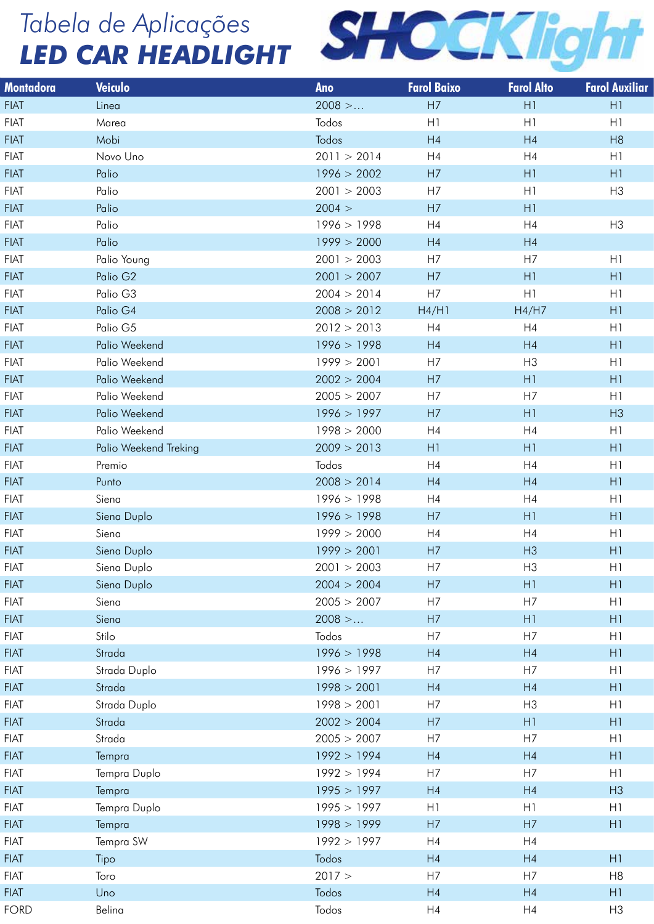

| Montadora   | Veiculo               | Ano         | <b>Farol Baixo</b> | <b>Farol Alto</b> | <b>Farol Auxiliar</b> |
|-------------|-----------------------|-------------|--------------------|-------------------|-----------------------|
| <b>FIAT</b> | Linea                 | $2008$ >    | H7                 | H1                | H1                    |
| <b>FIAT</b> | Marea                 | Todos       | H1                 | H1                | H1                    |
| <b>FIAT</b> | Mobi                  | Todos       | H4                 | H4                | H8                    |
| <b>FIAT</b> | Novo Uno              | 2011 > 2014 | H4                 | H4                | H1                    |
| <b>FIAT</b> | Palio                 | 1996 > 2002 | H7                 | H1                | H1                    |
| <b>FIAT</b> | Palio                 | 2001 > 2003 | H7                 | H1                | H3                    |
| <b>FIAT</b> | Palio                 | 2004 >      | H7                 | H1                |                       |
| <b>FIAT</b> | Palio                 | 1996 > 1998 | H4                 | H4                | H <sub>3</sub>        |
| FIAT        | Palio                 | 1999 > 2000 | H4                 | H4                |                       |
| <b>FIAT</b> | Palio Young           | 2001 > 2003 | H7                 | H7                | H1                    |
| <b>FIAT</b> | Palio G <sub>2</sub>  | 2001 > 2007 | H7                 | H1                | H1                    |
| <b>FIAT</b> | Palio G3              | 2004 > 2014 | H7                 | H1                | H1                    |
| FIAT        | Palio G4              | 2008 > 2012 | H4/H1              | H4/H7             | H1                    |
| <b>FIAT</b> | Palio G5              | 2012 > 2013 | H4                 | H4                | H1                    |
| FIAT        | Palio Weekend         | 1996 > 1998 | H4                 | H4                | H1                    |
| <b>FIAT</b> | Palio Weekend         | 1999 > 2001 | H7                 | H3                | H1                    |
| FIAT        | Palio Weekend         | 2002 > 2004 | H7                 | H1                | H1                    |
| <b>FIAT</b> | Palio Weekend         | 2005 > 2007 | H7                 | H7                | H1                    |
| FIAT        | Palio Weekend         | 1996 > 1997 | H7                 | H1                | H3                    |
| <b>FIAT</b> | Palio Weekend         | 1998 > 2000 | H4                 | H4                | H1                    |
| <b>FIAT</b> | Palio Weekend Treking | 2009 > 2013 | H1                 | H1                | H1                    |
| <b>FIAT</b> | Premio                | Todos       | H4                 | H4                | H1                    |
| FIAT        | Punto                 | 2008 > 2014 | H4                 | H4                | H1                    |
| <b>FIAT</b> | Siena                 | 1996 > 1998 | H4                 | H4                | H1                    |
| FIAT        | Siena Duplo           | 1996 > 1998 | H7                 | H1                | H1                    |
| <b>FIAT</b> | Siena                 | 1999 > 2000 | H4                 | H4                | H1                    |
| FIAT        | Siena Duplo           | 1999 > 2001 | H7                 | H3                | H1                    |
| <b>FIAT</b> | Siena Duplo           | 2001 > 2003 | H7                 | H3                | H1                    |
| <b>FIAT</b> | Siena Duplo           | 2004 > 2004 | H7                 | H1                | H1                    |
| <b>FIAT</b> | Siena                 | 2005 > 2007 | H7                 | H7                | H1                    |
| <b>FIAT</b> | Siena                 | $2008$ >    | H7                 | H1                | H1                    |
| <b>FIAT</b> | Stilo                 | Todos       | H7                 | H7                | H1                    |
| FIAT        | Strada                | 1996 > 1998 | H4                 | H4                | H1                    |
| <b>FIAT</b> | Strada Duplo          | 1996 > 1997 | H7                 | H7                | H1                    |
| <b>FIAT</b> | Strada                | 1998 > 2001 | H4                 | H4                | H1                    |
| <b>FIAT</b> | Strada Duplo          | 1998 > 2001 | H7                 | H <sub>3</sub>    | H1                    |
| FIAT        | Strada                | 2002 > 2004 | H7                 | H1                | H1                    |
| <b>FIAT</b> | Strada                | 2005 > 2007 | H7                 | H7                | H1                    |
| <b>FIAT</b> | Tempra                | 1992 > 1994 | H4                 | H4                | H1                    |
| <b>FIAT</b> | Tempra Duplo          | 1992 > 1994 | H7                 | H7                | H1                    |
| <b>FIAT</b> | Tempra                | 1995 > 1997 | H4                 | H4                | H3                    |
| <b>FIAT</b> | Tempra Duplo          | 1995 > 1997 | H1                 | H1                | H1                    |
| <b>FIAT</b> | Tempra                | 1998 > 1999 | H7                 | H7                | H1                    |
| <b>FIAT</b> | Tempra SW             | 1992 > 1997 | H4                 | H4                |                       |
| <b>FIAT</b> | Tipo                  | Todos       | H4                 | H4                | H1                    |
| <b>FIAT</b> | Toro                  | 2017 >      | H7                 | H7                | H <sub>8</sub>        |
| <b>FIAT</b> | Uno                   | Todos       | H4                 | H4                | H1                    |
| <b>FORD</b> | Belina                | Todos       | H4                 | H4                | H <sub>3</sub>        |
|             |                       |             |                    |                   |                       |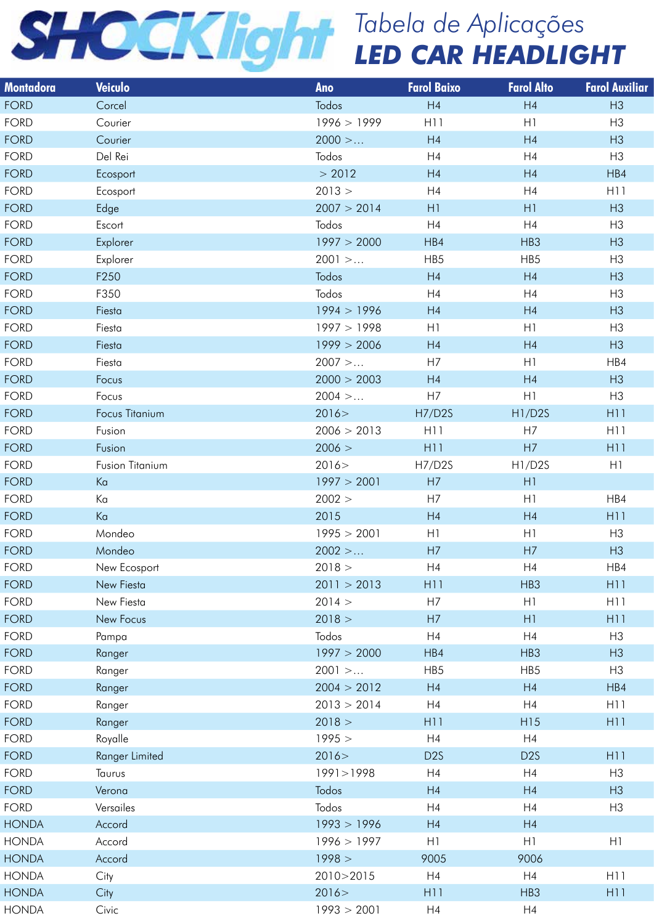| Montadora    | <b>Veiculo</b>  | Ano         | <b>Farol Baixo</b> | <b>Farol Alto</b> | <b>Farol Auxiliar</b> |
|--------------|-----------------|-------------|--------------------|-------------------|-----------------------|
| <b>FORD</b>  | Corcel          | Todos       | H4                 | H4                | H3                    |
| FORD         | Courier         | 1996 > 1999 | H <sub>1</sub>     | H1                | H <sub>3</sub>        |
| <b>FORD</b>  | Courier         | $2000$ >    | H4                 | H4                | H3                    |
| <b>FORD</b>  | Del Rei         | Todos       | H4                 | H4                | H3                    |
| <b>FORD</b>  | Ecosport        | > 2012      | H4                 | H4                | HB4                   |
| <b>FORD</b>  | Ecosport        | 2013 >      | H4                 | H4                | H11                   |
| <b>FORD</b>  | Edge            | 2007 > 2014 | H1                 | H1                | H3                    |
| <b>FORD</b>  | Escort          | Todos       | H4                 | H4                | H3                    |
| <b>FORD</b>  | Explorer        | 1997 > 2000 | HB4                | HB3               | H3                    |
| <b>FORD</b>  | Explorer        | $2001$ >    | HB5                | HB5               | H <sub>3</sub>        |
| <b>FORD</b>  | F250            | Todos       | H4                 | H4                | H3                    |
| <b>FORD</b>  | F350            | Todos       | H4                 | H4                | H3                    |
| <b>FORD</b>  | Fiesta          | 1994 > 1996 | H4                 | H4                | H3                    |
| <b>FORD</b>  | Fiesta          | 1997 > 1998 | H1                 | H1                | H3                    |
| <b>FORD</b>  | Fiesta          | 1999 > 2006 | H4                 | H4                | H3                    |
|              |                 |             |                    |                   |                       |
| FORD         | Fiesta          | $2007$ >    | H7                 | H1                | HB4                   |
| <b>FORD</b>  | Focus           | 2000 > 2003 | H4                 | H4                | H3                    |
| <b>FORD</b>  | Focus           | 2004 >      | H7                 | H1                | H3                    |
| <b>FORD</b>  | Focus Titanium  | 2016 >      | <b>H7/D2S</b>      | H1/D2S            | H11                   |
| <b>FORD</b>  | Fusion          | 2006 > 2013 | H <sub>1</sub>     | H7                | H11                   |
| <b>FORD</b>  | Fusion          | 2006 >      | H11                | H7                | H11                   |
| FORD         | Fusion Titanium | 2016 >      | H7/D2S             | H1/D2S            | H1                    |
| <b>FORD</b>  | Ka              | 1997 > 2001 | H7                 | H1                |                       |
| <b>FORD</b>  | Κa              | 2002 >      | H7                 | H1                | HB4                   |
| <b>FORD</b>  | Ka              | 2015        | H4                 | H4                | H11                   |
| FORD         | Mondeo          | 1995 > 2001 | H1                 | H1                | H <sub>3</sub>        |
| <b>FORD</b>  | Mondeo          | $2002$ >    | H7                 | H7                | H3                    |
| <b>FORD</b>  | New Ecosport    | 2018 >      | H4                 | H4                | HB4                   |
| <b>FORD</b>  | New Fiesta      | 2011 > 2013 | H <sub>11</sub>    | HB3               | H11                   |
| FORD         | New Fiesta      | 2014 >      | H7                 | H1                | H11                   |
| <b>FORD</b>  | New Focus       | 2018 >      | H7                 | H1                | H11                   |
| FORD         | Pampa           | Todos       | H4                 | H4                | H3                    |
| <b>FORD</b>  | Ranger          | 1997 > 2000 | HB4                | HB3               | H3                    |
| FORD         | Ranger          | $2001$ >    | HB5                | HB5               | H3                    |
| <b>FORD</b>  | Ranger          | 2004 > 2012 | H4                 | H4                | HB4                   |
| FORD         | Ranger          | 2013 > 2014 | H4                 | H4                | H11                   |
|              |                 |             |                    | H15               | H11                   |
| <b>FORD</b>  | Ranger          | 2018 >      | H11                |                   |                       |
| FORD         | Royalle         | 1995 >      | H4                 | H4                |                       |
| <b>FORD</b>  | Ranger Limited  | 2016 >      | D <sub>2</sub> S   | D <sub>2</sub> S  | H11                   |
| FORD         | Taurus          | 1991>1998   | H4                 | H4                | H3                    |
| <b>FORD</b>  | Verona          | Todos       | H4                 | H4                | H3                    |
| FORD         | Versailes       | Todos       | H4                 | H4                | H3                    |
| <b>HONDA</b> | Accord          | 1993 > 1996 | H4                 | H4                |                       |
| <b>HONDA</b> | Accord          | 1996 > 1997 | H1                 | H1                | H1                    |
| <b>HONDA</b> | Accord          | 1998 >      | 9005               | 9006              |                       |
| HONDA        | City            | 2010>2015   | H4                 | H4                | H11                   |
| <b>HONDA</b> | City            | 2016 >      | H11                | HB3               | H11                   |
| HONDA        | Civic           | 1993 > 2001 | H4                 | H4                |                       |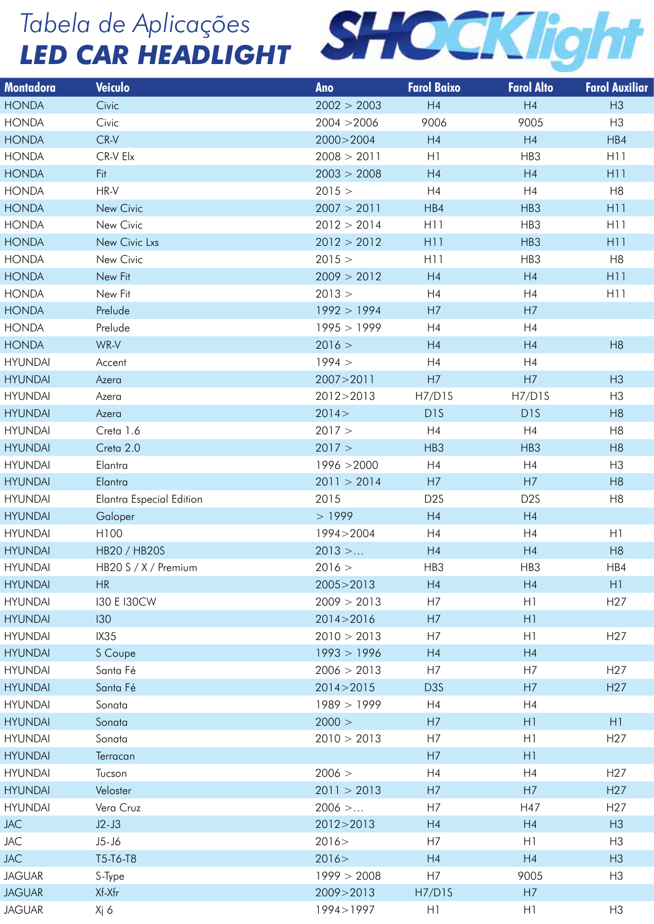

| Montadora      | Veiculo                         | Ano         | <b>Farol Baixo</b> | <b>Farol Alto</b> | <b>Farol Auxiliar</b> |
|----------------|---------------------------------|-------------|--------------------|-------------------|-----------------------|
| <b>HONDA</b>   | Civic                           | 2002 > 2003 | H4                 | H4                | H3                    |
| <b>HONDA</b>   | Civic                           | 2004 > 2006 | 9006               | 9005              | H3                    |
| <b>HONDA</b>   | $CR-V$                          | 2000>2004   | H4                 | H4                | HB4                   |
| <b>HONDA</b>   | CR-V Elx                        | 2008 > 2011 | H1                 | HB3               | H <sub>11</sub>       |
| <b>HONDA</b>   | Fit                             | 2003 > 2008 | H4                 | H4                | H <sub>11</sub>       |
| <b>HONDA</b>   | HR-V                            | 2015 >      | H4                 | H4                | H <sub>8</sub>        |
| <b>HONDA</b>   | New Civic                       | 2007 > 2011 | HB4                | HB3               | H11                   |
| <b>HONDA</b>   | New Civic                       | 2012 > 2014 | H <sub>1</sub>     | HB3               | H11                   |
| <b>HONDA</b>   | New Civic Lxs                   | 2012 > 2012 | H11                | HB3               | H11                   |
| <b>HONDA</b>   | New Civic                       | 2015 >      | H11                | HB3               | H <sub>8</sub>        |
| <b>HONDA</b>   | New Fit                         | 2009 > 2012 | H4                 | H4                | H11                   |
| <b>HONDA</b>   | New Fit                         | 2013 >      | H4                 | H4                | H11                   |
| <b>HONDA</b>   | Prelude                         | 1992 > 1994 | H7                 | H7                |                       |
| <b>HONDA</b>   | Prelude                         | 1995 > 1999 | H4                 | H4                |                       |
| <b>HONDA</b>   | WR-V                            | 2016 >      | H4                 | H4                | H8                    |
| <b>HYUNDAI</b> | Accent                          | 1994 >      | H4                 | H4                |                       |
| <b>HYUNDAI</b> | Azera                           | 2007>2011   | H7                 | H7                | H3                    |
| <b>HYUNDAI</b> | Azera                           | 2012>2013   | H7/D1S             | H7/D1S            | H <sub>3</sub>        |
| <b>HYUNDAI</b> | Azera                           | 2014 >      | D <sub>1</sub> S   | D <sub>1</sub> S  | H8                    |
| <b>HYUNDAI</b> | Creta 1.6                       | 2017 >      | H4                 | H4                | H <sub>8</sub>        |
| <b>HYUNDAI</b> | Creta 2.0                       | 2017 >      | HB3                | HB3               | H8                    |
| <b>HYUNDAI</b> | Elantra                         | 1996 > 2000 | H4                 | H4                | H3                    |
| <b>HYUNDAI</b> | Elantra                         | 2011 > 2014 | H7                 | H7                | H8                    |
| <b>HYUNDAI</b> | <b>Elantra Especial Edition</b> | 2015        | D <sub>2</sub> S   | D <sub>2</sub> S  | H <sub>8</sub>        |
| <b>HYUNDAI</b> | Galoper                         | >1999       | H4                 | H4                |                       |
| <b>HYUNDAI</b> | H100                            | 1994>2004   | H4                 | H4                | H1                    |
| <b>HYUNDAI</b> | HB20 / HB20S                    | $2013$ >    | H4                 | H4                | H8                    |
| HYUNDAI        | HB20 S / X / Premium            | 2016 >      | HB3                | HB3               | HB4                   |
| <b>HYUNDAI</b> | HR                              | 2005>2013   | H4                 | H4                | H1                    |
| <b>HYUNDAI</b> | <b>130 E 130CW</b>              | 2009 > 2013 | H7                 | H1                | H <sub>27</sub>       |
| <b>HYUNDAI</b> | 130                             | 2014 > 2016 | H7                 | H1                |                       |
| <b>HYUNDAI</b> | IX35                            | 2010 > 2013 | H7                 | H1                | H <sub>27</sub>       |
| <b>HYUNDAI</b> | S Coupe                         | 1993 > 1996 | H4                 | H4                |                       |
| <b>HYUNDAI</b> | Santa Fé                        | 2006 > 2013 | H7                 | H7                | H <sub>27</sub>       |
| <b>HYUNDAI</b> | Santa Fé                        | 2014 > 2015 | D <sub>3</sub> S   | H7                | H <sub>27</sub>       |
| <b>HYUNDAI</b> | Sonata                          | 1989 > 1999 | H4                 | H4                |                       |
| <b>HYUNDAI</b> | Sonata                          | 2000 >      | H7                 | H1                | H1                    |
| <b>HYUNDAI</b> | Sonata                          | 2010 > 2013 | H7                 | H1                | H <sub>27</sub>       |
| <b>HYUNDAI</b> | Terracan                        |             | H7                 | H1                |                       |
| <b>HYUNDAI</b> | Tucson                          | 2006 >      | H4                 | H4                | H <sub>27</sub>       |
| <b>HYUNDAI</b> | Veloster                        | 2011 > 2013 | H7                 | H7                | H <sub>27</sub>       |
| <b>HYUNDAI</b> | Vera Cruz                       | $2006$ >    | H7                 | H47               | H <sub>27</sub>       |
| <b>JAC</b>     | $J2-J3$                         | 2012>2013   | H4                 | H4                | H3                    |
| JAC            | J5-J6                           | 2016 >      | H7                 | H1                | H <sub>3</sub>        |
| <b>JAC</b>     | T5-T6-T8                        | 2016 >      | H4                 | H4                | H3                    |
| <b>JAGUAR</b>  | S-Type                          | 1999 > 2008 | H7                 | 9005              | H <sub>3</sub>        |
| <b>JAGUAR</b>  | Xf-Xfr                          | 2009>2013   | H7/D1S             | H7                |                       |
| <b>JAGUAR</b>  | Xj 6                            | 1994>1997   | H1                 | H1                | H <sub>3</sub>        |
|                |                                 |             |                    |                   |                       |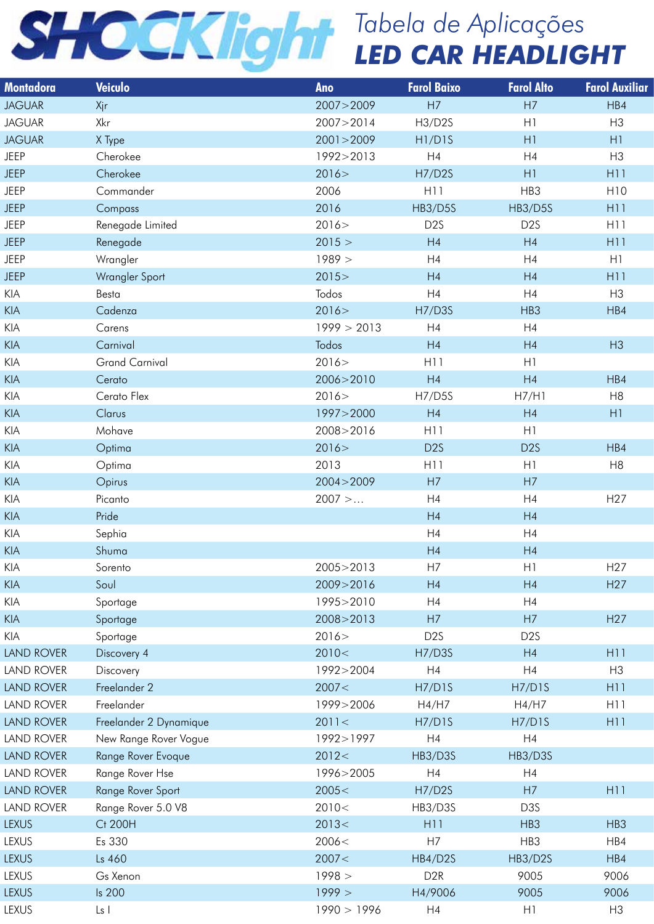| Montado <u>ra</u> i                                             | Veiculo                | Ano         | <b>Farol Baixo</b>              | <b>Farol Alto</b> | <b>Farol Auxiliar</b> |
|-----------------------------------------------------------------|------------------------|-------------|---------------------------------|-------------------|-----------------------|
| <b>JAGUAR</b>                                                   | Xjr                    | 2007>2009   | H7                              | H7                | HB4                   |
| <b>JAGUAR</b>                                                   | Xkr                    | 2007>2014   | H3/D2S                          | H1                | H <sub>3</sub>        |
| <b>JAGUAR</b>                                                   | X Type                 | 2001 > 2009 | H <sub>1</sub> /D <sub>1S</sub> | H1                | H1                    |
| <b>JEEP</b>                                                     | Cherokee               | 1992>2013   | H4                              | H4                | H <sub>3</sub>        |
| <b>JEEP</b>                                                     | Cherokee               | 2016 >      | <b>H7/D2S</b>                   | H1                | H11                   |
| <b>JEEP</b>                                                     | Commander              | 2006        | H11                             | HB3               | H10                   |
| <b>JEEP</b>                                                     | Compass                | 2016        | HB3/D5S                         | HB3/D5S           | H11                   |
| <b>JEEP</b>                                                     | Renegade Limited       | 2016 >      | D <sub>2</sub> S                | D <sub>2</sub> S  | H11                   |
| <b>JEEP</b>                                                     | Renegade               | 2015 >      | H4                              | H4                | H11                   |
| <b>JEEP</b>                                                     | Wrangler               | 1989 >      | H4                              | H4                | H1                    |
| <b>JEEP</b>                                                     | Wrangler Sport         | 2015 >      | H4                              | H4                | H11                   |
| KIA                                                             | Besta                  | Todos       | H4                              | H4                | H3                    |
| $\ensuremath{\mathsf{K}}\xspace\ensuremath{\mathsf{IA}}\xspace$ | Cadenza                | 2016 >      | <b>H7/D3S</b>                   | HB3               | HB4                   |
| KIA                                                             | Carens                 | 1999 > 2013 | H4                              | H4                |                       |
| KIA                                                             | Carnival               | Todos       | H4                              | H4                | H3                    |
|                                                                 |                        |             |                                 |                   |                       |
| KIA                                                             | <b>Grand Carnival</b>  | 2016 >      | H11                             | H1                |                       |
| KIA                                                             | Cerato                 | 2006>2010   | H4                              | H4                | HB4                   |
| KIA                                                             | Cerato Flex            | 2016 >      | <b>H7/D5S</b>                   | H7/H1             | H8                    |
| KIA                                                             | Clarus                 | 1997>2000   | H4                              | H4                | H1                    |
| KIA                                                             | Mohave                 | 2008>2016   | H11                             | H1                |                       |
| $\ensuremath{\mathsf{K}}\xspace\ensuremath{\mathsf{IA}}\xspace$ | Optima                 | 2016 >      | D <sub>2</sub> S                | D <sub>2</sub> S  | HB4                   |
| KIA                                                             | Optima                 | 2013        | H11                             | H1                | H <sub>8</sub>        |
| KIA                                                             | Opirus                 | 2004 > 2009 | H7                              | H7                |                       |
| KIA                                                             | Picanto                | $2007$ >    | H4                              | H4                | H <sub>27</sub>       |
| KIA                                                             | Pride                  |             | H4                              | H4                |                       |
| KIA                                                             | Sephia                 |             | H <sub>4</sub>                  | H4                |                       |
| KIA                                                             | Shuma                  |             | H4                              | H4                |                       |
| KIA                                                             | Sorento                | 2005>2013   | H7                              | H1                | H <sub>27</sub>       |
| KIA                                                             | Soul                   | 2009>2016   | H4                              | H4                | H27                   |
| KIA                                                             | Sportage               | 1995>2010   | H4                              | H4                |                       |
| $\ensuremath{\mathsf{K}}\xspace\ensuremath{\mathsf{IA}}\xspace$ | Sportage               | 2008>2013   | H7                              | H7                | H27                   |
| KIA                                                             | Sportage               | 2016 >      | D <sub>2</sub> S                | D <sub>2</sub> S  |                       |
| LAND ROVER                                                      | Discovery 4            | 2010<       | <b>H7/D3S</b>                   | H4                | H11                   |
| LAND ROVER                                                      | Discovery              | 1992>2004   | H4                              | H4                | H3                    |
| <b>LAND ROVER</b>                                               | Freelander 2           | 2007<       | <b>H7/D1S</b>                   | H7/D1S            | H11                   |
| LAND ROVER                                                      | Freelander             | 1999>2006   | H4/H7                           | H4/H7             | H11                   |
| LAND ROVER                                                      | Freelander 2 Dynamique | 2011 <      | <b>H7/D1S</b>                   | H7/D1S            | H11                   |
| LAND ROVER                                                      | New Range Rover Vogue  | 1992>1997   | H4                              | H4                |                       |
|                                                                 |                        |             |                                 |                   |                       |
| LAND ROVER                                                      | Range Rover Evoque     | 2012<       | HB3/D3S                         | HB3/D3S           |                       |
| LAND ROVER                                                      | Range Rover Hse        | 1996>2005   | H4                              | H4                |                       |
| LAND ROVER                                                      | Range Rover Sport      | 2005<       | H7/D2S                          | H7                | H11                   |
| LAND ROVER                                                      | Range Rover 5.0 V8     | 2010<       | HB3/D3S                         | D3S               |                       |
| <b>LEXUS</b>                                                    | Ct 200H                | 2013<       | H11                             | HB3               | HB3                   |
| LEXUS                                                           | Es 330                 | 2006<       | H7                              | HB3               | HB4                   |
| <b>LEXUS</b>                                                    | Ls 460                 | 2007 <      | HB4/D2S                         | HB3/D2S           | HB4                   |
| LEXUS                                                           | Gs Xenon               | 1998 >      | D <sub>2</sub> R                | 9005              | 9006                  |
| <b>LEXUS</b>                                                    | Is 200                 | 1999 >      | H4/9006                         | 9005              | 9006                  |
| LEXUS                                                           | $\lfloor s \rfloor$    | 1990 > 1996 | H4                              | H1                | H <sub>3</sub>        |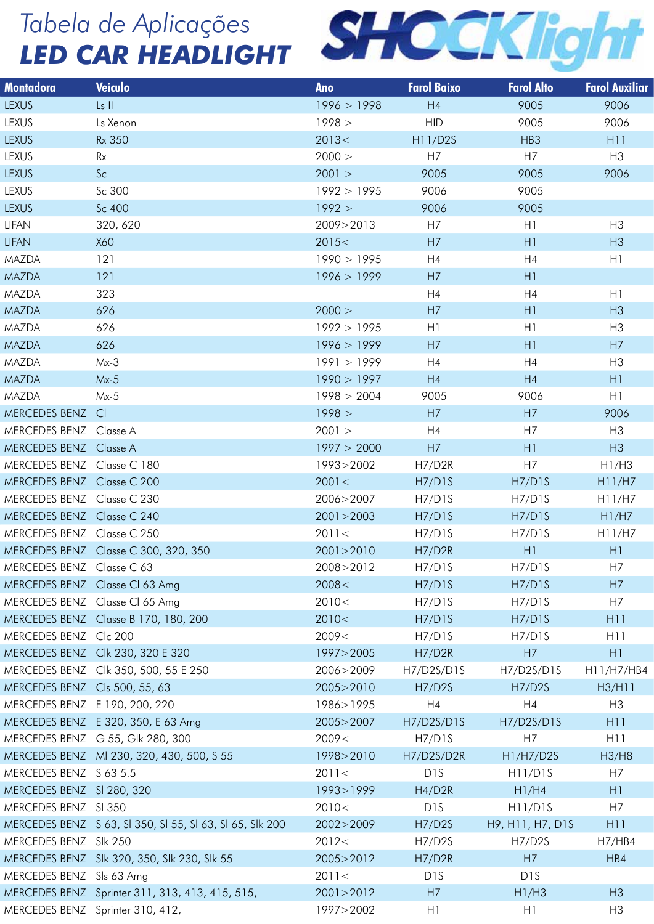

| <b>Montadora</b>           | <b>Veiculo</b>                                                         | <b>Ano</b>     | <b>Farol Baixo</b> | <b>Farol Alto</b> | <b>Farol Auxiliar</b> |
|----------------------------|------------------------------------------------------------------------|----------------|--------------------|-------------------|-----------------------|
| <b>LEXUS</b>               | Ls II                                                                  | 1996 > 1998    | H4                 | 9005              | 9006                  |
| LEXUS                      | Ls Xenon                                                               | 1998 >         | <b>HID</b>         | 9005              | 9006                  |
| <b>LEXUS</b>               | <b>Rx 350</b>                                                          | 2013<          | H11/D2S            | HB3               | H11                   |
| <b>LEXUS</b>               | Rx                                                                     | 2000 >         | H7                 | H7                | H3                    |
| <b>LEXUS</b>               | Sc                                                                     | 2001 >         | 9005               | 9005              | 9006                  |
| <b>LEXUS</b>               | Sc 300                                                                 | 1992 > 1995    | 9006               | 9005              |                       |
| <b>LEXUS</b>               | Sc 400                                                                 | 1992 >         | 9006               | 9005              |                       |
| <b>LIFAN</b>               | 320, 620                                                               | 2009>2013      | H7                 | H1                | H3                    |
| <b>LIFAN</b>               | X60                                                                    | 2015<          | H7                 | H1                | H3                    |
| <b>MAZDA</b>               | 121                                                                    | 1990 > 1995    | H4                 | H4                | H1                    |
| <b>MAZDA</b>               | 121                                                                    | 1996 > 1999    | H7                 | H1                |                       |
| MAZDA                      | 323                                                                    |                | H4                 | H4                | H1                    |
| <b>MAZDA</b>               | 626                                                                    | 2000 >         | H7                 | H1                | H3                    |
| <b>MAZDA</b>               | 626                                                                    | 1992 > 1995    | H1                 | H1                | H3                    |
| <b>MAZDA</b>               | 626                                                                    | 1996 > 1999    | H7                 | H1                | H7                    |
| MAZDA                      | $Mx-3$                                                                 | 1991 > 1999    | H4                 | H4                | H3                    |
| <b>MAZDA</b>               | $Mx-5$                                                                 | 1990 > 1997    | H4                 | H4                | H1                    |
| MAZDA                      | $Mx-5$                                                                 | 1998 > 2004    | 9005               | 9006              | H1                    |
| MERCEDES BENZ CI           |                                                                        | 1998 >         | H7                 | H7                | 9006                  |
| MERCEDES BENZ Classe A     |                                                                        | 2001 >         | H4                 | H7                | H <sub>3</sub>        |
| MERCEDES BENZ Classe A     |                                                                        | 1997 > 2000    | H7                 | H1                | H3                    |
| MERCEDES BENZ Classe C 180 |                                                                        | 1993>2002      | H7/D2R             | H7                | H1/H3                 |
| MERCEDES BENZ Classe C 200 |                                                                        | 2001 <         | H7/D1S             | H7/D1S            | H11/H7                |
| MERCEDES BENZ Classe C 230 |                                                                        | 2006>2007      | H7/D1S             | H7/D1S            | H11/H7                |
| MERCEDES BENZ Classe C 240 |                                                                        | 2001 > 2003    | H7/D1S             | H7/D1S            | H1/H7                 |
| MERCEDES BENZ Classe C 250 |                                                                        | 2011<          | H7/D1S             | H7/D1S            | H11/H7                |
|                            | MERCEDES BENZ Classe C 300, 320, 350                                   | 2001 > 2010    | H7/D2R             | H1                | H1                    |
| MERCEDES BENZ Classe C 63  |                                                                        | 2008>2012      | H7/D1S             | H7/D1S            | H7                    |
|                            | MERCEDES BENZ Classe CI 63 Amg                                         | 2008<          | H7/D1S             | H7/D1S            | H7                    |
|                            | MERCEDES BENZ Classe CI 65 Amg<br>MERCEDES BENZ Classe B 170, 180, 200 | 2010<<br>2010< | H7/D1S<br>H7/D1S   | H7/D1S            | H7<br>H11             |
| MERCEDES BENZ Clc 200      |                                                                        | 2009<          | H7/D1S             | H7/D1S<br>H7/D1S  | H <sub>11</sub>       |
|                            | MERCEDES BENZ Clk 230, 320 E 320                                       | 1997>2005      | H7/D2R             | H7                | H1                    |
|                            | MERCEDES BENZ Clk 350, 500, 55 E 250                                   | 2006>2009      | H7/D2S/D1S         | H7/D2S/D1S        | H11/H7/HB4            |
|                            | MERCEDES BENZ Cls 500, 55, 63                                          | 2005>2010      | H7/D2S             | H7/D2S            | H3/H11                |
|                            | MERCEDES BENZ E 190, 200, 220                                          | 1986>1995      | H4                 | H4                | H3                    |
|                            | MERCEDES BENZ E 320, 350, E 63 Amg                                     | 2005>2007      | H7/D2S/D1S         | H7/D2S/D1S        | H11                   |
|                            | MERCEDES BENZ G 55, Glk 280, 300                                       | 2009<          | H7/D1S             | H7                | H11                   |
|                            | MERCEDES BENZ MI 230, 320, 430, 500, S 55                              | 1998>2010      | H7/D2S/D2R         | H1/H7/D2S         | H3/H8                 |
| MERCEDES BENZ S 63 5.5     |                                                                        | 2011 <         | D <sub>1</sub> S   | H11/D1S           | H7                    |
| MERCEDES BENZ SI 280, 320  |                                                                        | 1993>1999      | H4/D2R             | H1/H4             | H1                    |
| MERCEDES BENZ SI 350       |                                                                        | 2010<          | D <sub>1</sub> S   | H11/D1S           | H7                    |
|                            | MERCEDES BENZ S 63, SI 350, SI 55, SI 63, SI 65, SIk 200               | 2002>2009      | H7/D2S             | H9, H11, H7, D1S  | H11                   |
| MERCEDES BENZ SIk 250      |                                                                        | 2012<          | H7/D2S             | H7/D2S            | H7/HB4                |
|                            | MERCEDES BENZ SIk 320, 350, SIk 230, SIk 55                            | 2005>2012      | H7/D2R             | H7                | HBA                   |
| MERCEDES BENZ Sls 63 Amg   |                                                                        | 2011<          | D <sub>1</sub> S   | D <sub>1</sub> S  |                       |
|                            | MERCEDES BENZ Sprinter 311, 313, 413, 415, 515,                        | 2001 > 2012    | H7                 | H1/H3             | H3                    |
|                            | MERCEDES BENZ Sprinter 310, 412,                                       | 1997>2002      | H1                 | H1                | H3                    |
|                            |                                                                        |                |                    |                   |                       |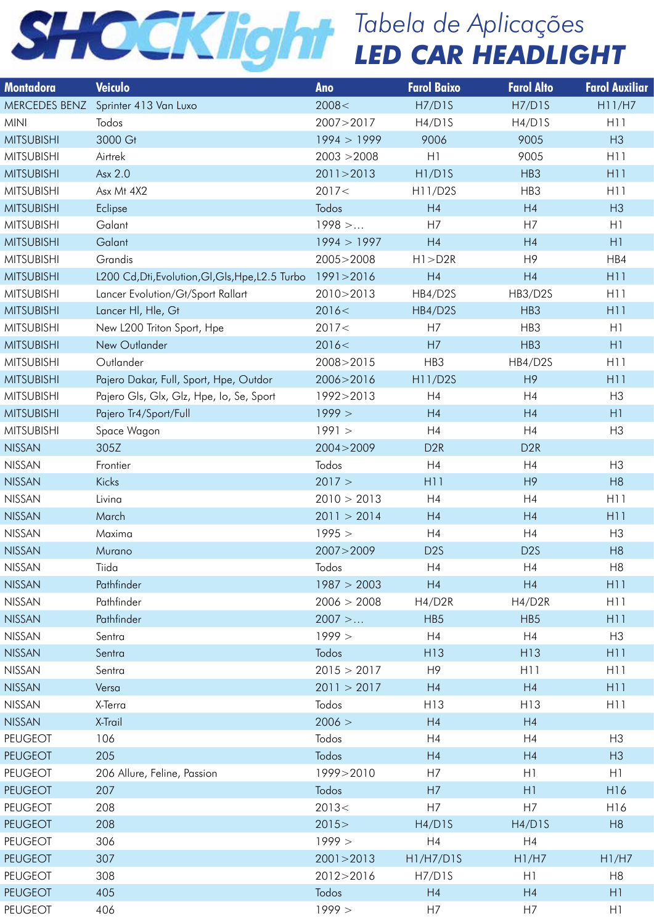| <b>Montadora</b>  | Veiculo                                                     | Ano         | <b>Farol Baixo</b>              | <b>Farol Alto</b> | <b>Farol Auxiliar</b> |
|-------------------|-------------------------------------------------------------|-------------|---------------------------------|-------------------|-----------------------|
|                   | MERCEDES BENZ Sprinter 413 Van Luxo                         | 2008<       | H7/D1S                          | H7/D1S            | H11/H7                |
| MINI              | Todos                                                       | 2007>2017   | H4/D1S                          | H4/D1S            | H11                   |
| <b>MITSUBISHI</b> | 3000 Gt                                                     | 1994 > 1999 | 9006                            | 9005              | H3                    |
| <b>MITSUBISHI</b> | Airtrek                                                     | 2003 > 2008 | H1                              | 9005              | H11                   |
| <b>MITSUBISHI</b> | Asx 2.0                                                     | 2011 > 2013 | H <sub>1</sub> /D <sub>1S</sub> | HB3               | H11                   |
| <b>MITSUBISHI</b> | Asx Mt 4X2                                                  | 2017<       | H11/D2S                         | HB3               | H11                   |
| <b>MITSUBISHI</b> | Eclipse                                                     | Todos       | H4                              | H4                | H3                    |
| <b>MITSUBISHI</b> | Galant                                                      | $1998$ >    | H7                              | H7                | H1                    |
| <b>MITSUBISHI</b> | Galant                                                      | 1994 > 1997 | H4                              | H4                | H1                    |
| <b>MITSUBISHI</b> | Grandis                                                     | 2005>2008   | H1 > D2R                        | H9                | HB4                   |
| <b>MITSUBISHI</b> | L200 Cd, Dti, Evolution, Gl, Gls, Hpe, L2.5 Turbo 1991>2016 |             | H4                              | H4                | H11                   |
| <b>MITSUBISHI</b> | Lancer Evolution/Gt/Sport Rallart                           | 2010>2013   | HB4/D2S                         | HB3/D2S           | H11                   |
| <b>MITSUBISHI</b> | Lancer HI, Hle, Gt                                          | 2016<       | HB4/D2S                         | HB3               | H11                   |
| <b>MITSUBISHI</b> | New L200 Triton Sport, Hpe                                  | 2017<       | H7                              | HB3               | H1                    |
| <b>MITSUBISHI</b> | New Outlander                                               | 2016<       | H7                              | HB3               | H1                    |
| <b>MITSUBISHI</b> | Outlander                                                   | 2008>2015   | HB3                             | HB4/D2S           | H11                   |
| <b>MITSUBISHI</b> | Pajero Dakar, Full, Sport, Hpe, Outdor                      | 2006>2016   | H11/D2S                         | H9                | H11                   |
| <b>MITSUBISHI</b> | Pajero Gls, Glx, Glz, Hpe, Io, Se, Sport                    | 1992>2013   | H4                              | H4                | H <sub>3</sub>        |
| <b>MITSUBISHI</b> | Pajero Tr4/Sport/Full                                       | 1999 >      | H4                              | H4                | H1                    |
| MITSUBISHI        | Space Wagon                                                 | 1991 >      | H4                              | H4                | H <sub>3</sub>        |
| <b>NISSAN</b>     | 305Z                                                        | 2004 > 2009 | D <sub>2R</sub>                 | D <sub>2R</sub>   |                       |
| NISSAN            | Frontier                                                    | Todos       | H4                              | H4                | H3                    |
| <b>NISSAN</b>     | Kicks                                                       | 2017 >      | H11                             | H9                | H8                    |
|                   | Livina                                                      |             |                                 | H4                | H11                   |
| <b>NISSAN</b>     |                                                             | 2010 > 2013 | H4                              |                   |                       |
| <b>NISSAN</b>     | March                                                       | 2011 > 2014 | H4                              | H4                | H11                   |
| NISSAN            | Maxima                                                      | 1995 >      | H4                              | H4                | H <sub>3</sub>        |
| <b>NISSAN</b>     | Murano                                                      | 2007>2009   | D <sub>2</sub> S                | D <sub>2</sub> S  | H8                    |
| <b>NISSAN</b>     | Tiida                                                       | Todos       | H4                              | H4                | H8                    |
| <b>NISSAN</b>     | Pathfinder                                                  | 1987 > 2003 | H4                              | H4                | H11                   |
| NISSAN            | Pathfinder                                                  | 2006 > 2008 | H4/D2R                          | H4/D2R            | H11                   |
| <b>NISSAN</b>     | Pathfinder                                                  | $2007$ >    | HB <sub>5</sub>                 | HB <sub>5</sub>   | H11                   |
| NISSAN            | Sentra                                                      | 1999 >      | H4                              | H4                | H3                    |
| <b>NISSAN</b>     | Sentra                                                      | Todos       | H13                             | H <sub>13</sub>   | H11                   |
| NISSAN            | Sentra                                                      | 2015 > 2017 | H9                              | H11               | H11                   |
| <b>NISSAN</b>     | Versa                                                       | 2011 > 2017 | H4                              | H4                | H11                   |
| NISSAN            | X-Terra                                                     | Todos       | H13                             | H13               | H11                   |
| <b>NISSAN</b>     | X-Trail                                                     | 2006 >      | H4                              | H4                |                       |
| PEUGEOT           | 106                                                         | Todos       | H4                              | H4                | H3                    |
| <b>PEUGEOT</b>    | 205                                                         | Todos       | H4                              | H4                | H3                    |
| PEUGEOT           | 206 Allure, Feline, Passion                                 | 1999>2010   | H7                              | H1                | H1                    |
| <b>PEUGEOT</b>    | 207                                                         | Todos       | H7                              | H1                | H <sub>16</sub>       |
| PEUGEOT           | 208                                                         | 2013<       | H7                              | H7                | H16                   |
| <b>PEUGEOT</b>    | 208                                                         | 2015 >      | H4/D1S                          | H4/D1S            | H8                    |
| PEUGEOT           | 306                                                         | 1999 >      | H4                              | H4                |                       |
| <b>PEUGEOT</b>    | 307                                                         | 2001 > 2013 | H1/H7/D1S                       | H1/H7             | H1/H7                 |
| PEUGEOT           | 308                                                         | 2012>2016   | H7/D1S                          | H1                | H8                    |
| <b>PEUGEOT</b>    | 405                                                         | Todos       | H4                              | H4                | H1                    |
| <b>PEUGEOT</b>    | 406                                                         | 1999 >      | H7                              | H7                | H1                    |
|                   |                                                             |             |                                 |                   |                       |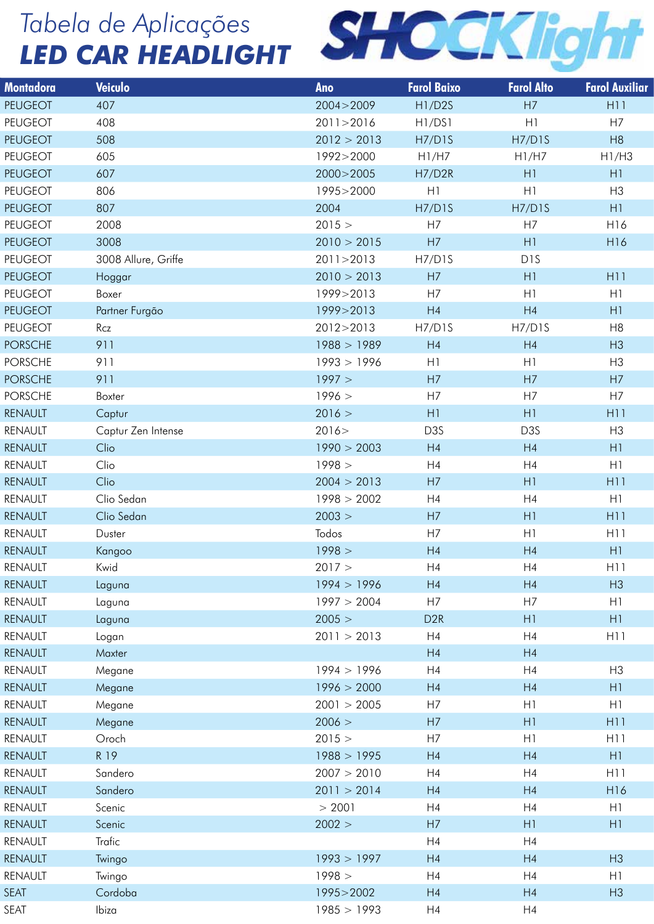

| <b>Montadora</b>   | Veiculo             | Ano                        | <b>Farol Baixo</b> | <b>Farol Alto</b> | <b>Farol Auxiliar</b> |
|--------------------|---------------------|----------------------------|--------------------|-------------------|-----------------------|
| <b>PEUGEOT</b>     | 407                 | 2004 > 2009                | H1/D2S             | H7                | H <sub>11</sub>       |
| PEUGEOT            | 408                 | 2011>2016                  | H1/DS1             | H1                | H7                    |
| PEUGEOT            | 508                 | 2012 > 2013                | H7/D1S             | H7/D1S            | H8                    |
| PEUGEOT            | 605                 | 1992>2000                  | H1/H7              | H1/H7             | H1/H3                 |
| PEUGEOT            | 607                 | 2000>2005                  | H7/D2R             | H1                | H1                    |
| <b>PEUGEOT</b>     | 806                 | 1995>2000                  | H1                 | H1                | H3                    |
| PEUGEOT            | 807                 | 2004                       | H7/D1S             | H7/D1S            | H1                    |
| PEUGEOT            | 2008                | 2015 >                     | H7                 | H7                | H16                   |
| <b>PEUGEOT</b>     | 3008                | 2010 > 2015                | H7                 | H1                | H16                   |
| PEUGEOT            | 3008 Allure, Griffe | 2011>2013                  | H7/D1S             | D <sub>1</sub> S  |                       |
| PEUGEOT            | Hoggar              | 2010 > 2013                | H7                 | H1                | H <sub>11</sub>       |
| PEUGEOT            | Boxer               | 1999>2013                  | H7                 | H1                | H1                    |
| PEUGEOT            | Partner Furgão      | 1999>2013                  | H4                 | H4                | H1                    |
| PEUGEOT            | Rcz                 | 2012>2013                  | H7/D1S             | H7/D1S            | H <sub>8</sub>        |
| <b>PORSCHE</b>     | 911                 | 1988 > 1989                | H4                 | H4                | H3                    |
| <b>PORSCHE</b>     | 911                 | 1993 > 1996                | H1                 | H1                | H3                    |
| <b>PORSCHE</b>     | 911                 | 1997 >                     | H7                 | H7                | H7                    |
| <b>PORSCHE</b>     | Boxter              | 1996 >                     | H7                 | H7                | H7                    |
| RENAULT            | Captur              | 2016 >                     | H1                 | H1                | H11                   |
| RENAULT            | Captur Zen Intense  | 2016 >                     | D3S                | D <sub>3</sub> S  | H <sub>3</sub>        |
| RENAULT            | Clio                | 1990 > 2003                | H4                 | H4                | H1                    |
| RENAULT            | Clio                | 1998 >                     | H4                 | H4                | H1                    |
| <b>RENAULT</b>     | Clio                | 2004 > 2013                | H7                 | H1                | H11                   |
| RENAULT            | Clio Sedan          | 1998 > 2002                | H4                 | H4                | H1                    |
| <b>RENAULT</b>     | Clio Sedan          | 2003 >                     | H7                 | H1                | H11                   |
| RENAULT            | Duster              | Todos                      | H7                 | H1                | H <sub>1</sub>        |
| RENAULT            | Kangoo              | 1998 >                     | H4<br>H4           | H4<br>H4          | H1<br>H11             |
| RENAULT            | Kwid                | 2017 >                     |                    |                   |                       |
| RENAULT            | Laguna              | 1994 > 1996<br>1997 > 2004 | H4<br>H7           | H4                | H3                    |
| RENAULT<br>RENAULT | Laguna<br>Laguna    | 2005 >                     | D <sub>2</sub> R   | H7<br>H1          | H1<br>H1              |
| RENAULT            | Logan               | 2011 > 2013                | H4                 | H <sub>4</sub>    | H11                   |
| RENAULT            | Maxter              |                            | H4                 | H4                |                       |
| RENAULT            | Megane              | 1994 > 1996                | H4                 | H4                | H <sub>3</sub>        |
| RENAULT            | Megane              | 1996 > 2000                | H4                 | H4                | H1                    |
| RENAULT            | Megane              | 2001 > 2005                | H7                 | H1                | H1                    |
| RENAULT            | Megane              | 2006 >                     | H7                 | H1                | H11                   |
| RENAULT            | Oroch               | 2015 >                     | H7                 | H1                | H11                   |
| RENAULT            | R 19                | 1988 > 1995                | H4                 | H4                | H1                    |
| RENAULT            | Sandero             | 2007 > 2010                | H4                 | H4                | H11                   |
| RENAULT            | Sandero             | 2011 > 2014                | H4                 | H4                | H16                   |
| RENAULT            | Scenic              | > 2001                     | H4                 | H4                | H1                    |
| RENAULT            | Scenic              | 2002 >                     | H7                 | H1                | H1                    |
| RENAULT            | Trafic              |                            | H4                 | H4                |                       |
| RENAULT            | Twingo              | 1993 > 1997                | H4                 | H4                | H3                    |
| RENAULT            | Twingo              | 1998 >                     | H4                 | H4                | H1                    |
| SEAT               | Cordoba             | 1995>2002                  | H4                 | H4                | H3                    |
| SEAT               | Ibiza               | 1985 > 1993                | H4                 | H4                |                       |
|                    |                     |                            |                    |                   |                       |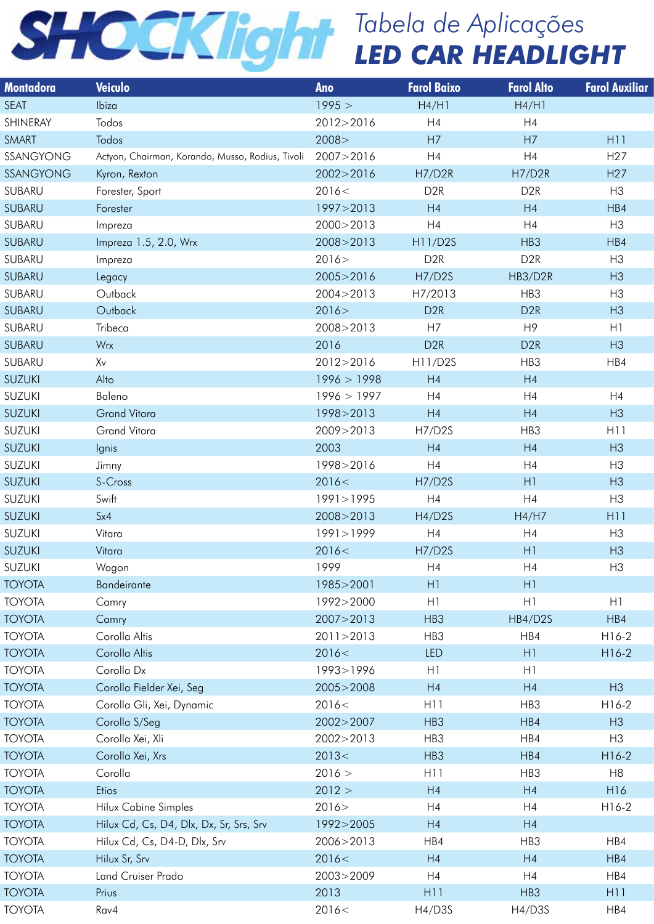| <b>Montadora</b> | Veiculo                                          | Ano         | <b>Farol Baixo</b> | <b>Farol Alto</b> | <b>Farol Auxiliar</b> |
|------------------|--------------------------------------------------|-------------|--------------------|-------------------|-----------------------|
| <b>SEAT</b>      | Ibiza                                            | 1995 >      | H4/H1              | H4/H1             |                       |
| SHINERAY         | Todos                                            | 2012>2016   | H4                 | H4                |                       |
| SMART            | Todos                                            | 2008 >      | H7                 | H7                | H11                   |
| SSANGYONG        | Actyon, Chairman, Korando, Musso, Rodius, Tivoli | 2007>2016   | H4                 | H4                | H <sub>27</sub>       |
| SSANGYONG        | Kyron, Rexton                                    | 2002>2016   | H7/D2R             | H7/D2R            | H <sub>27</sub>       |
| SUBARU           | Forester, Sport                                  | 2016<       | D <sub>2</sub> R   | D <sub>2</sub> R  | H3                    |
| SUBARU           | Forester                                         | 1997>2013   | H4                 | H4                | HB4                   |
| SUBARU           | Impreza                                          | 2000>2013   | H4                 | H4                | H3                    |
| SUBARU           | Impreza 1.5, 2.0, Wrx                            | 2008>2013   | H11/D2S            | HB3               | HB4                   |
| SUBARU           | Impreza                                          | 2016 >      | D2R                | D <sub>2</sub> R  | H <sub>3</sub>        |
| SUBARU           | Legacy                                           | 2005>2016   | <b>H7/D2S</b>      | HB3/D2R           | H3                    |
| SUBARU           | Outback                                          | 2004>2013   | H7/2013            | HB3               | H3                    |
| SUBARU           | Outback                                          | 2016 >      | D <sub>2R</sub>    | D <sub>2R</sub>   | H3                    |
| SUBARU           | Tribeca                                          | 2008>2013   | H7                 | H9                | H1                    |
| SUBARU           | Wrx                                              | 2016        | D <sub>2R</sub>    | D <sub>2R</sub>   | H3                    |
| SUBARU           | Xv                                               | 2012>2016   | H11/D2S            | HB3               | HB4                   |
| SUZUKI           | Alto                                             | 1996 > 1998 | H4                 | H4                |                       |
| SUZUKI           | Baleno                                           | 1996 > 1997 | H4                 | H4                | H4                    |
| SUZUKI           | <b>Grand Vitara</b>                              | 1998>2013   | H4                 | H4                | H3                    |
| SUZUKI           | Grand Vitara                                     | 2009>2013   | H7/D2S             | HB3               | H11                   |
| SUZUKI           | lgnis                                            | 2003        | H4                 | H4                | H3                    |
| SUZUKI           | Jimny                                            | 1998>2016   | H4                 | H4                | H <sub>3</sub>        |
| <b>SUZUKI</b>    | S-Cross                                          | 2016<       | <b>H7/D2S</b>      | H1                | H3                    |
| SUZUKI           | Swift                                            | 1991>1995   | H4                 | H4                | H <sub>3</sub>        |
| <b>SUZUKI</b>    | Sx4                                              | 2008>2013   | H4/D2S             | H4/H7             | H11                   |
| SUZUKI           | Vitara                                           | 1991>1999   | H4                 | H4                | H3                    |
|                  |                                                  |             |                    |                   |                       |
| <b>SUZUKI</b>    | Vitara                                           | 2016<       | <b>H7/D2S</b>      | H1                | H3                    |
| <b>SUZUKI</b>    | Wagon                                            | 1999        | H <sub>4</sub>     | H4                | H3                    |
| <b>TOYOTA</b>    | Bandeirante                                      | 1985>2001   | H1                 | H1                |                       |
| <b>TOYOTA</b>    | Camry                                            | 1992>2000   | H <sub>1</sub>     | H1                | H1                    |
| <b>TOYOTA</b>    | Camry                                            | 2007>2013   | HB3                | HB4/D2S           | H B4                  |
| <b>TOYOTA</b>    | Corolla Altis                                    | 2011 > 2013 | HB3                | HB4               | $H16-2$               |
| <b>TOYOTA</b>    | Corolla Altis                                    | 2016<       | LED                | H1                | $H16-2$               |
| <b>TOYOTA</b>    | Corolla Dx                                       | 1993>1996   | H1                 | H1                |                       |
| <b>TOYOTA</b>    | Corolla Fielder Xei, Seg                         | 2005>2008   | H4                 | H4                | H3                    |
| <b>TOYOTA</b>    | Corolla Gli, Xei, Dynamic                        | 2016<       | H <sub>1</sub>     | HB3               | $H16-2$               |
| <b>TOYOTA</b>    | Corolla S/Seg                                    | 2002>2007   | HB3                | HB4               | H3                    |
| <b>TOYOTA</b>    | Corolla Xei, Xli                                 | 2002>2013   | HB3                | HB4               | H3                    |
| <b>TOYOTA</b>    | Corolla Xei, Xrs                                 | 2013<       | HB3                | HB4               | $H16-2$               |
| <b>TOYOTA</b>    | Corolla                                          | 2016 >      | H <sub>1</sub>     | HB3               | H <sub>8</sub>        |
| <b>TOYOTA</b>    | Etios                                            | 2012 >      | H4                 | H4                | H16                   |
| <b>TOYOTA</b>    | <b>Hilux Cabine Simples</b>                      | 2016 >      | H4                 | H4                | $H16-2$               |
| <b>TOYOTA</b>    | Hilux Cd, Cs, D4, Dlx, Dx, Sr, Srs, Srv          | 1992>2005   | H4                 | H4                |                       |
| <b>TOYOTA</b>    | Hilux Cd, Cs, D4-D, Dlx, Srv                     | 2006>2013   | HB4                | HB3               | HB4                   |
| <b>TOYOTA</b>    | Hilux Sr, Srv                                    | 2016<       | H4                 | H4                | HB4                   |
| TOYOTA           | <b>Land Cruiser Prado</b>                        | 2003>2009   | H4                 | H4                | HB4                   |
| <b>TOYOTA</b>    | Prius                                            | 2013        | H11                | HB3               | H11                   |
| <b>TOYOTA</b>    | Rav4                                             | 2016<       | H4/D3S             | H4/D3S            | HB4                   |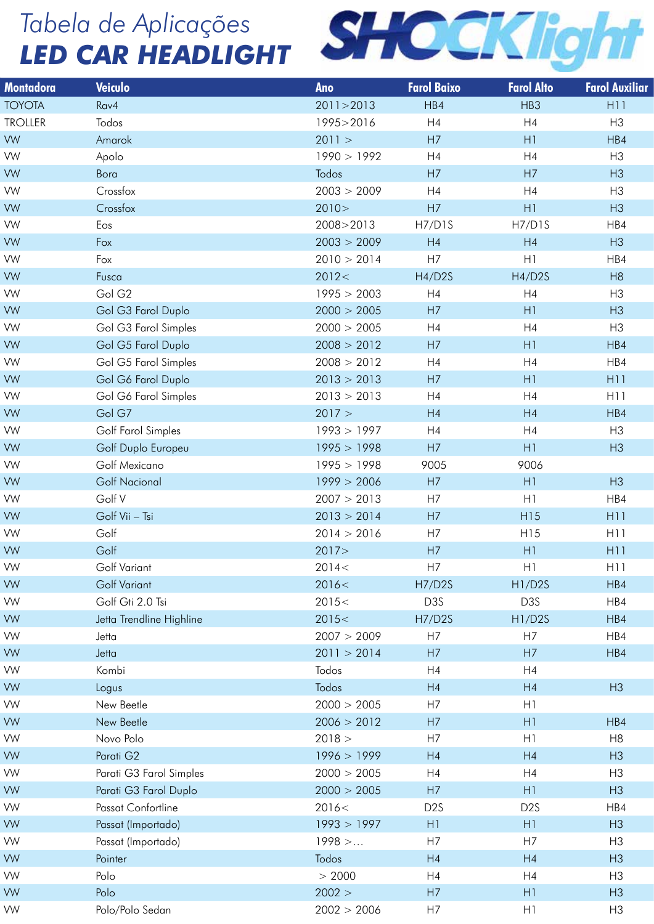

| <b>Montadora</b> | Veiculo                  | Ano         | <b>Farol Baixo</b> | <b>Farol Alto</b> | <b>Farol Auxiliar</b> |
|------------------|--------------------------|-------------|--------------------|-------------------|-----------------------|
| <b>TOYOTA</b>    | $R$ av4                  | 2011 > 2013 | HBA                | HB3               | H <sub>11</sub>       |
| <b>TROLLER</b>   | Todos                    | 1995>2016   | H4                 | H4                | H3                    |
| VW               | Amarok                   | 2011 >      | H7                 | H1                | HB4                   |
| <b>VW</b>        | Apolo                    | 1990 > 1992 | H4                 | H4                | H <sub>3</sub>        |
| <b>VW</b>        | Bora                     | Todos       | H7                 | H7                | H3                    |
| <b>VW</b>        | Crossfox                 | 2003 > 2009 | H4                 | H4                | H3                    |
| <b>VW</b>        | Crossfox                 | 2010 >      | H7                 | H1                | H3                    |
| <b>VW</b>        | Eos                      | 2008>2013   | H7/D1S             | <b>H7/D1S</b>     | HB4                   |
| <b>VW</b>        | Fox                      | 2003 > 2009 | H4                 | H4                | H3                    |
| <b>VW</b>        | Fox                      | 2010 > 2014 | H7                 | H1                | HB4                   |
| <b>VW</b>        | Fusca                    | 2012<       | H4/D2S             | H4/D2S            | H8                    |
| <b>VW</b>        | Gol G <sub>2</sub>       | 1995 > 2003 | H4                 | H4                | H3                    |
| <b>VW</b>        | Gol G3 Farol Duplo       | 2000 > 2005 | H7                 | H1                | H3                    |
| VW               | Gol G3 Farol Simples     | 2000 > 2005 | H4                 | H4                | H3                    |
| <b>VW</b>        | Gol G5 Farol Duplo       | 2008 > 2012 | H7                 | H1                | HB4                   |
| <b>VW</b>        | Gol G5 Farol Simples     | 2008 > 2012 | H4                 | H4                | HB4                   |
| <b>VW</b>        | Gol G6 Farol Duplo       | 2013 > 2013 | H7                 | H1                | H11                   |
| <b>VW</b>        | Gol G6 Farol Simples     | 2013 > 2013 | H4                 | H4                | H11                   |
| <b>VW</b>        | Gol G7                   | 2017 >      | H4                 | H4                | HB4                   |
| <b>VW</b>        | Golf Farol Simples       | 1993 > 1997 | H4                 | H4                | H3                    |
| <b>VW</b>        | Golf Duplo Europeu       | 1995 > 1998 | H7                 | H1                | H3                    |
| <b>VW</b>        | Golf Mexicano            | 1995 > 1998 | 9005               | 9006              |                       |
| <b>VW</b>        | <b>Golf Nacional</b>     | 1999 > 2006 | H7                 | H1                | H3                    |
| <b>VW</b>        | Golf V                   | 2007 > 2013 | H7                 | H1                | HB4                   |
| <b>VW</b>        | Golf Vii – Tsi           | 2013 > 2014 | H7                 | H15               | H11                   |
| <b>VW</b>        | Golf                     | 2014 > 2016 | H7                 | H15               | H11                   |
| <b>VW</b>        | Golf                     | 2017 >      | H7                 | H1                | H11                   |
| <b>VW</b>        | Golf Variant             | 2014 <      | H7                 | H1                | H11                   |
| <b>VW</b>        | <b>Golf Variant</b>      | 2016<       | H7/D2S             | H1/D2S            | HB4                   |
| <b>VW</b>        | Golf Gti 2.0 Tsi         | 2015<       | D <sub>3</sub> S   | D <sub>3</sub> S  | HB4                   |
| <b>VW</b>        | Jetta Trendline Highline | 2015<       | H7/D2S             | H1/D2S            | HB4                   |
| <b>VW</b>        | Jetta                    | 2007 > 2009 | H7                 | H7                | HB4                   |
| <b>VW</b>        | Jetta                    | 2011 > 2014 | H7                 | H7                | HB4                   |
| <b>VW</b>        | Kombi                    | Todos       | H4                 | H4                |                       |
| <b>VW</b>        | Logus                    | Todos       | H4                 | H4                | H3                    |
| <b>VW</b>        | New Beetle               | 2000 > 2005 | H7                 | H1                |                       |
| <b>VW</b>        | New Beetle               | 2006 > 2012 | H7                 | H1                | HBA                   |
| <b>VW</b>        | Novo Polo                | 2018 >      | H7                 | H1                | H8                    |
| <b>VW</b>        | Parati G2                | 1996 > 1999 | H4                 | H4                | H3                    |
| <b>VW</b>        | Parati G3 Farol Simples  | 2000 > 2005 | H4                 | H4                | H <sub>3</sub>        |
| <b>VW</b>        | Parati G3 Farol Duplo    | 2000 > 2005 | H7                 | H1                | H3                    |
| <b>VW</b>        | Passat Confortline       | 2016<       | D <sub>2</sub> S   | D <sub>2</sub> S  | HB4                   |
| <b>VW</b>        | Passat (Importado)       | 1993 > 1997 | H1                 | H1                | H3                    |
| <b>VW</b>        | Passat (Importado)       | $1998$ >    | H7                 | H7                | H3                    |
| <b>VW</b>        | Pointer                  | Todos       | H4                 | H4                | H3                    |
| <b>VW</b>        | Polo                     | > 2000      | H4                 | H <sub>4</sub>    | H <sub>3</sub>        |
| <b>VW</b>        | Polo                     | 2002 >      | H7                 | H1                | H3                    |
| VW               | Polo/Polo Sedan          | 2002 > 2006 | H7                 | H1                | H3                    |